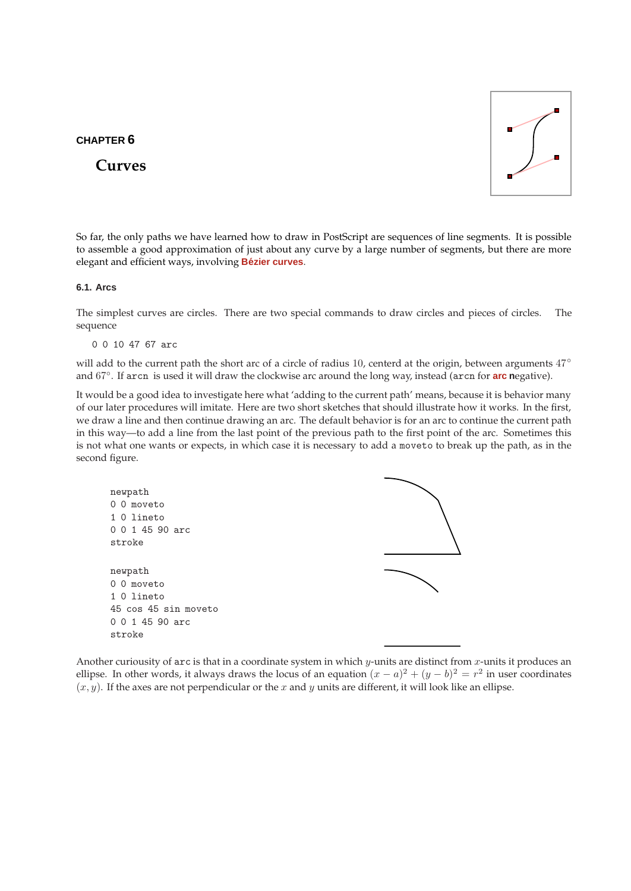## **CHAPTER 6**

## **Curves**



So far, the only paths we have learned how to draw in PostScript are sequences of line segments. It is possible to assemble a good approximation of just about any curve by a large number of segments, but there are more elegant and efficient ways, involving **Bezier curves ´** .

## **6.1. Arcs**

The simplest curves are circles. There are two special commands to draw circles and pieces of circles. The sequence

0 0 10 47 67 arc

will add to the current path the short arc of a circle of radius 10, centerd at the origin, between arguments 47° and 67◦ . If arcn is used it will draw the clockwise arc around the long way, instead (arcn for **arc n**egative).

It would be a good idea to investigate here what 'adding to the current path' means, because it is behavior many of our later procedures will imitate. Here are two short sketches that should illustrate how it works. In the first, we draw a line and then continue drawing an arc. The default behavior is for an arc to continue the current path in this way—to add a line from the last point of the previous path to the first point of the arc. Sometimes this is not what one wants or expects, in which case it is necessary to add a moveto to break up the path, as in the second figure.



Another curiousity of arc is that in a coordinate system in which  $y$ -units are distinct from  $x$ -units it produces an ellipse. In other words, it always draws the locus of an equation  $(x - a)^2 + (y - b)^2 = r^2$  in user coordinates  $(x, y)$ . If the axes are not perpendicular or the x and y units are different, it will look like an ellipse.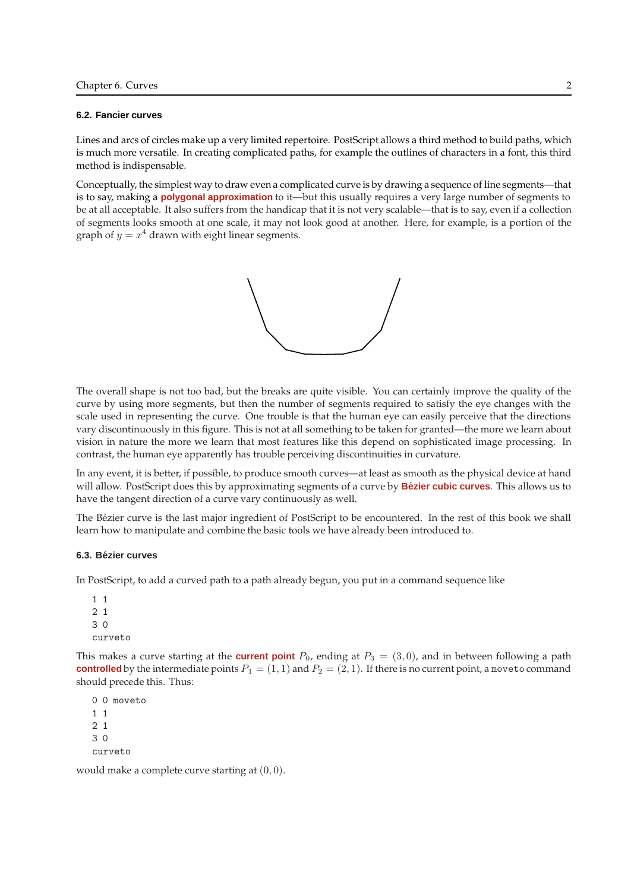## **6.2. Fancier curves**

Lines and arcs of circles make up a very limited repertoire. PostScript allows a third method to build paths, which is much more versatile. In creating complicated paths, for example the outlines of characters in a font, this third method is indispensable.

Conceptually, the simplest way to draw even a complicated curve is by drawing a sequence of line segments—that is to say, making a **polygonal approximation** to it—but this usually requires a very large number of segments to be at all acceptable. It also suffers from the handicap that it is not very scalable—that is to say, even if a collection of segments looks smooth at one scale, it may not look good at another. Here, for example, is a portion of the graph of  $y = x^4$  drawn with eight linear segments.



The overall shape is not too bad, but the breaks are quite visible. You can certainly improve the quality of the curve by using more segments, but then the number of segments required to satisfy the eye changes with the scale used in representing the curve. One trouble is that the human eye can easily perceive that the directions vary discontinuously in this figure. This is not at all something to be taken for granted—the more we learn about vision in nature the more we learn that most features like this depend on sophisticated image processing. In contrast, the human eye apparently has trouble perceiving discontinuities in curvature.

In any event, it is better, if possible, to produce smooth curves—at least as smooth as the physical device at hand will allow. PostScript does this by approximating segments of a curve by **Bezier cubic curves ´** . This allows us to have the tangent direction of a curve vary continuously as well.

The Bézier curve is the last major ingredient of PostScript to be encountered. In the rest of this book we shall learn how to manipulate and combine the basic tools we have already been introduced to.

## **6.3. Bezier curves ´**

In PostScript, to add a curved path to a path already begun, you put in a command sequence like

This makes a curve starting at the **current point**  $P_0$ , ending at  $P_3 = (3,0)$ , and in between following a path **controlled** by the intermediate points  $P_1 = (1, 1)$  and  $P_2 = (2, 1)$ . If there is no current point, a moveto command should precede this. Thus:

would make a complete curve starting at  $(0, 0)$ .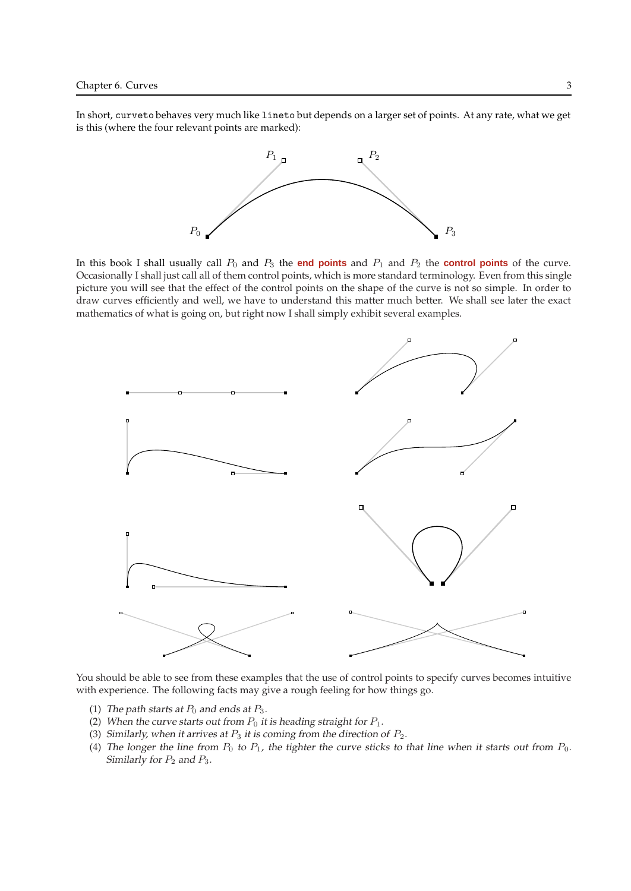In short, curveto behaves very much like lineto but depends on a larger set of points. At any rate, what we get is this (where the four relevant points are marked):



In this book I shall usually call  $P_0$  and  $P_3$  the **end points** and  $P_1$  and  $P_2$  the **control points** of the curve. Occasionally I shall just call all of them control points, which is more standard terminology. Even from this single picture you will see that the effect of the control points on the shape of the curve is not so simple. In order to draw curves efficiently and well, we have to understand this matter much better. We shall see later the exact mathematics of what is going on, but right now I shall simply exhibit several examples.



You should be able to see from these examples that the use of control points to specify curves becomes intuitive with experience. The following facts may give a rough feeling for how things go.

- (1) The path starts at  $P_0$  and ends at  $P_3$ .
- (2) When the curve starts out from  $P_0$  it is heading straight for  $P_1$ .
- (3) Similarly, when it arrives at  $P_3$  it is coming from the direction of  $P_2$ .
- (4) The longer the line from  $P_0$  to  $P_1$ , the tighter the curve sticks to that line when it starts out from  $P_0$ . Similarly for  $P_2$  and  $P_3$ .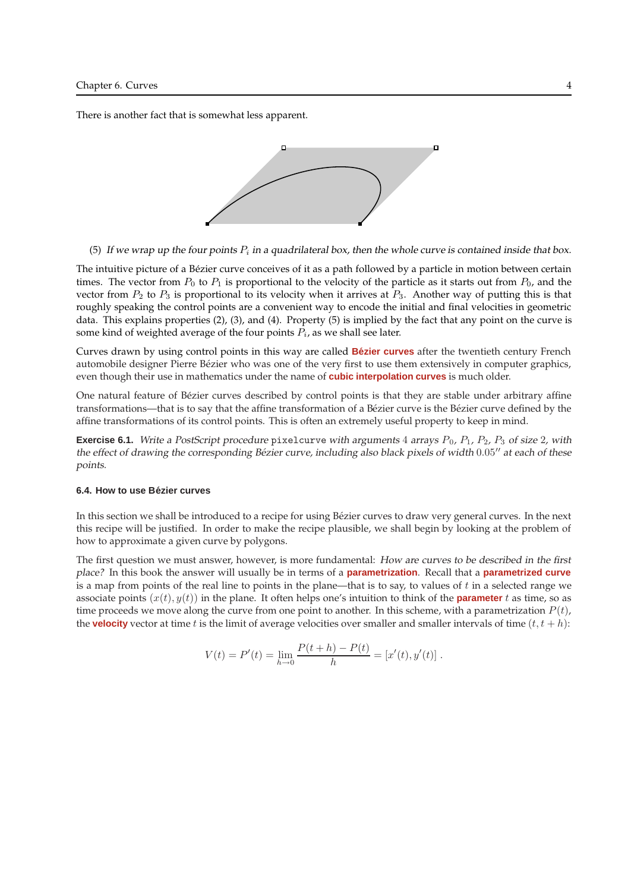There is another fact that is somewhat less apparent.



(5) If we wrap up the four points  $P_i$  in a quadrilateral box, then the whole curve is contained inside that box.

The intuitive picture of a Bézier curve conceives of it as a path followed by a particle in motion between certain times. The vector from  $P_0$  to  $P_1$  is proportional to the velocity of the particle as it starts out from  $P_0$ , and the vector from  $P_2$  to  $P_3$  is proportional to its velocity when it arrives at  $P_3$ . Another way of putting this is that roughly speaking the control points are a convenient way to encode the initial and final velocities in geometric data. This explains properties (2), (3), and (4). Property (5) is implied by the fact that any point on the curve is some kind of weighted average of the four points  $P_i$ , as we shall see later.

Curves drawn by using control points in this way are called **Bézier curves** after the twentieth century French automobile designer Pierre Bézier who was one of the very first to use them extensively in computer graphics, even though their use in mathematics under the name of **cubic interpolation curves** is much older.

One natural feature of Bézier curves described by control points is that they are stable under arbitrary affine transformations—that is to say that the affine transformation of a Bézier curve is the Bézier curve defined by the affine transformations of its control points. This is often an extremely useful property to keep in mind.

**Exercise 6.1.** Write a PostScript procedure pixelcurve with arguments 4 arrays  $P_0$ ,  $P_1$ ,  $P_2$ ,  $P_3$  of size 2, with the effect of drawing the corresponding Bézier curve, including also black pixels of width  $0.05''$  at each of these points.

## **6.4. How to use Bezier curves ´**

In this section we shall be introduced to a recipe for using Bézier curves to draw very general curves. In the next this recipe will be justified. In order to make the recipe plausible, we shall begin by looking at the problem of how to approximate a given curve by polygons.

The first question we must answer, however, is more fundamental: How are curves to be described in the first place? In this book the answer will usually be in terms of a **parametrization**. Recall that a **parametrized curve** is a map from points of the real line to points in the plane—that is to say, to values of  $t$  in a selected range we associate points  $(x(t), y(t))$  in the plane. It often helps one's intuition to think of the **parameter** t as time, so as time proceeds we move along the curve from one point to another. In this scheme, with a parametrization  $P(t)$ , the **velocity** vector at time t is the limit of average velocities over smaller and smaller intervals of time  $(t, t + h)$ :

$$
V(t) = P'(t) = \lim_{h \to 0} \frac{P(t+h) - P(t)}{h} = [x'(t), y'(t)].
$$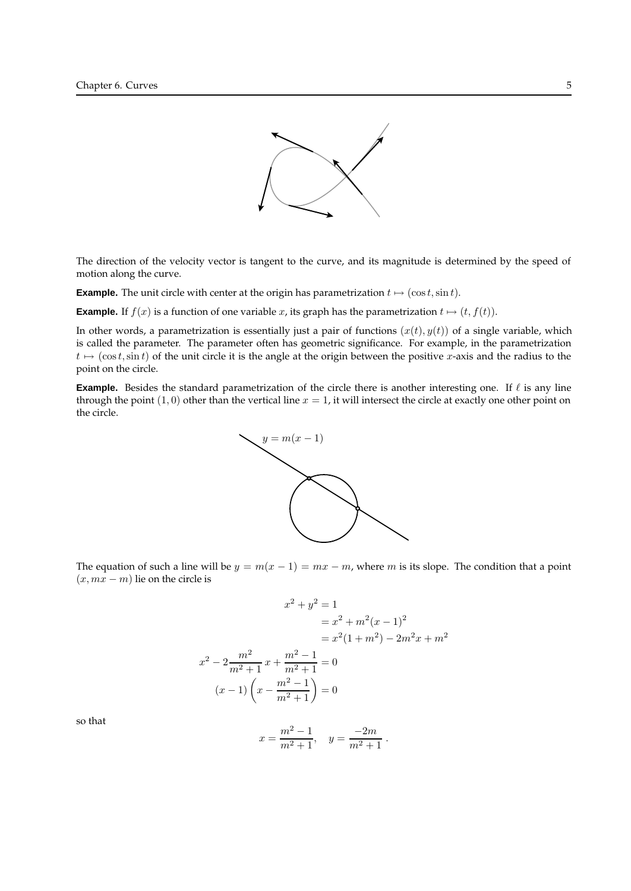

The direction of the velocity vector is tangent to the curve, and its magnitude is determined by the speed of motion along the curve.

**Example.** The unit circle with center at the origin has parametrization  $t \mapsto (\cos t, \sin t)$ .

**Example.** If  $f(x)$  is a function of one variable x, its graph has the parametrization  $t \mapsto (t, f(t))$ .

In other words, a parametrization is essentially just a pair of functions  $(x(t), y(t))$  of a single variable, which is called the parameter. The parameter often has geometric significance. For example, in the parametrization  $t \mapsto (\cos t, \sin t)$  of the unit circle it is the angle at the origin between the positive x-axis and the radius to the point on the circle.

**Example.** Besides the standard parametrization of the circle there is another interesting one. If  $\ell$  is any line through the point  $(1, 0)$  other than the vertical line  $x = 1$ , it will intersect the circle at exactly one other point on the circle.



The equation of such a line will be  $y = m(x - 1) = mx - m$ , where m is its slope. The condition that a point  $(x, mx - m)$  lie on the circle is

$$
x^{2} + y^{2} = 1
$$
  
=  $x^{2} + m^{2}(x - 1)^{2}$   
=  $x^{2}(1 + m^{2}) - 2m^{2}x + m^{2}$   

$$
x^{2} - 2\frac{m^{2}}{m^{2} + 1}x + \frac{m^{2} - 1}{m^{2} + 1} = 0
$$
  

$$
(x - 1)\left(x - \frac{m^{2} - 1}{m^{2} + 1}\right) = 0
$$

so that

$$
x = \frac{m^2 - 1}{m^2 + 1}, \quad y = \frac{-2m}{m^2 + 1}
$$

.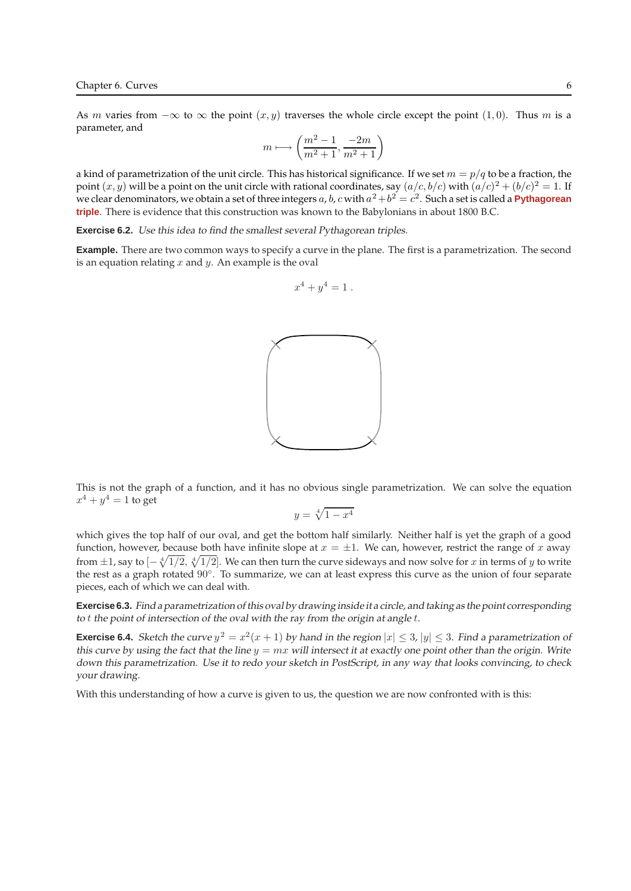As m varies from  $-\infty$  to  $\infty$  the point  $(x, y)$  traverses the whole circle except the point  $(1, 0)$ . Thus m is a parameter, and

$$
m \longmapsto \left(\frac{m^2 - 1}{m^2 + 1}, \frac{-2m}{m^2 + 1}\right)
$$

a kind of parametrization of the unit circle. This has historical significance. If we set  $m = p/q$  to be a fraction, the point  $(x, y)$  will be a point on the unit circle with rational coordinates, say  $(a/c, b/c)$  with  $(a/c)^2 + (b/c)^2 = 1$ . If we clear denominators, we obtain a set of three integers a, b, c with  $a^2+b^2=c^2$ . Such a set is called a **Pythagorean triple**. There is evidence that this construction was known to the Babylonians in about 1800 B.C.

**Exercise 6.2.** Use this idea to find the smallest several Pythagorean triples.

**Example.** There are two common ways to specify a curve in the plane. The first is a parametrization. The second is an equation relating  $x$  and  $y$ . An example is the oval

$$
x^4 + y^4 = 1 \; .
$$



This is not the graph of a function, and it has no obvious single parametrization. We can solve the equation  $x^4 + y^4 = 1$  to get

$$
y = \sqrt[4]{1 - x^4}
$$

which gives the top half of our oval, and get the bottom half similarly. Neither half is yet the graph of a good function, however, because both have infinite slope at  $x = \pm 1$ . We can, however, restrict the range of x away from  $\pm1$ , say to  $[-\sqrt[4]{1/2},\sqrt[4]{1/2}].$  We can then turn the curve sideways and now solve for  $x$  in terms of  $y$  to write the rest as a graph rotated 90°. To summarize, we can at least express this curve as the union of four separate pieces, each of which we can deal with.

**Exercise 6.3.** Find <sup>a</sup> parametrization of this oval by drawing inside it <sup>a</sup> circle, and taking as the point corresponding to t the point of intersection of the oval with the ray from the origin at angle t.

**Exercise 6.4.** Sketch the curve  $y^2 = x^2(x + 1)$  by hand in the region  $|x| \le 3$ ,  $|y| \le 3$ . Find a parametrization of this curve by using the fact that the line  $y = mx$  will intersect it at exactly one point other than the origin. Write down this parametrization. Use it to redo your sketch in PostScript, in any way that looks convincing, to check your drawing.

With this understanding of how a curve is given to us, the question we are now confronted with is this: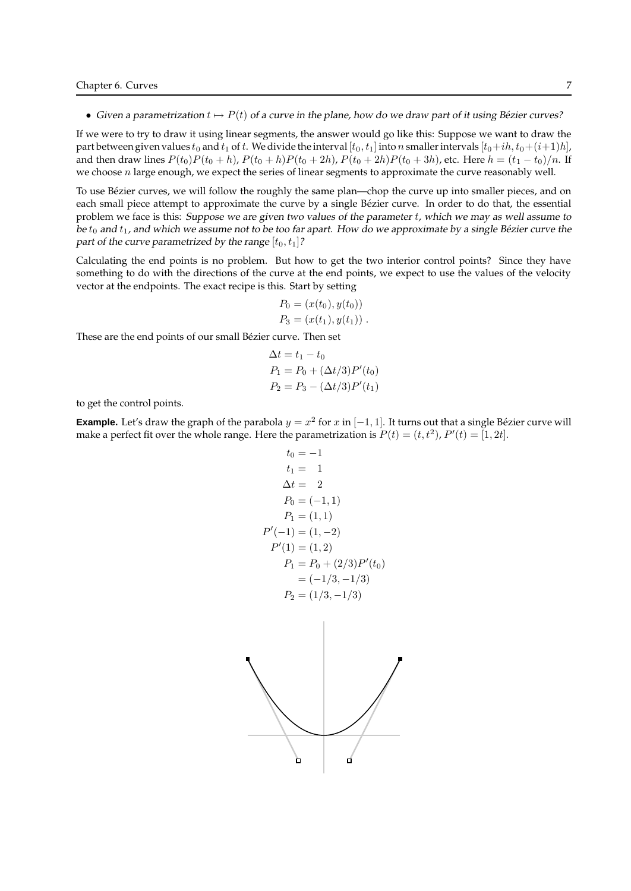• Given a parametrization  $t \mapsto P(t)$  of a curve in the plane, how do we draw part of it using Bézier curves?

If we were to try to draw it using linear segments, the answer would go like this: Suppose we want to draw the part between given values  $t_0$  and  $t_1$  of t. We divide the interval  $[t_0, t_1]$  into n smaller intervals  $[t_0+ih, t_0+(i+1)h]$ , and then draw lines  $P(t_0)P(t_0 + h)$ ,  $P(t_0 + h)P(t_0 + 2h)$ ,  $P(t_0 + 2h)P(t_0 + 3h)$ , etc. Here  $h = (t_1 - t_0)/n$ . If we choose  $n$  large enough, we expect the series of linear segments to approximate the curve reasonably well.

To use Bezier curves, we will follow the roughly the same plan—chop the curve up into smaller pieces, and on ´ each small piece attempt to approximate the curve by a single Bézier curve. In order to do that, the essential problem we face is this: Suppose we are given two values of the parameter t, which we may as well assume to be  $t_0$  and  $t_1$ , and which we assume not to be too far apart. How do we approximate by a single Bézier curve the part of the curve parametrized by the range  $[t_0, t_1]$ ?

Calculating the end points is no problem. But how to get the two interior control points? Since they have something to do with the directions of the curve at the end points, we expect to use the values of the velocity vector at the endpoints. The exact recipe is this. Start by setting

$$
P_0 = (x(t_0), y(t_0))
$$
  
\n
$$
P_3 = (x(t_1), y(t_1))
$$
.

These are the end points of our small Bézier curve. Then set

$$
\Delta t = t_1 - t_0
$$
  
\n
$$
P_1 = P_0 + (\Delta t/3)P'(t_0)
$$
  
\n
$$
P_2 = P_3 - (\Delta t/3)P'(t_1)
$$

to get the control points.

**Example.** Let's draw the graph of the parabola  $y = x^2$  for x in  $[-1, 1]$ . It turns out that a single Bézier curve will make a perfect fit over the whole range. Here the parametrization is  $P(t) = (t, t^2)$ ,  $P'(t) = [1, 2t]$ .

$$
t_0 = -1
$$
  
\n
$$
t_1 = 1
$$
  
\n
$$
\Delta t = 2
$$
  
\n
$$
P_0 = (-1, 1)
$$
  
\n
$$
P_1 = (1, 1)
$$
  
\n
$$
P'(-1) = (1, -2)
$$
  
\n
$$
P'(1) = (1, 2)
$$
  
\n
$$
P_1 = P_0 + (2/3)P'(t_0)
$$
  
\n
$$
= (-1/3, -1/3)
$$
  
\n
$$
P_2 = (1/3, -1/3)
$$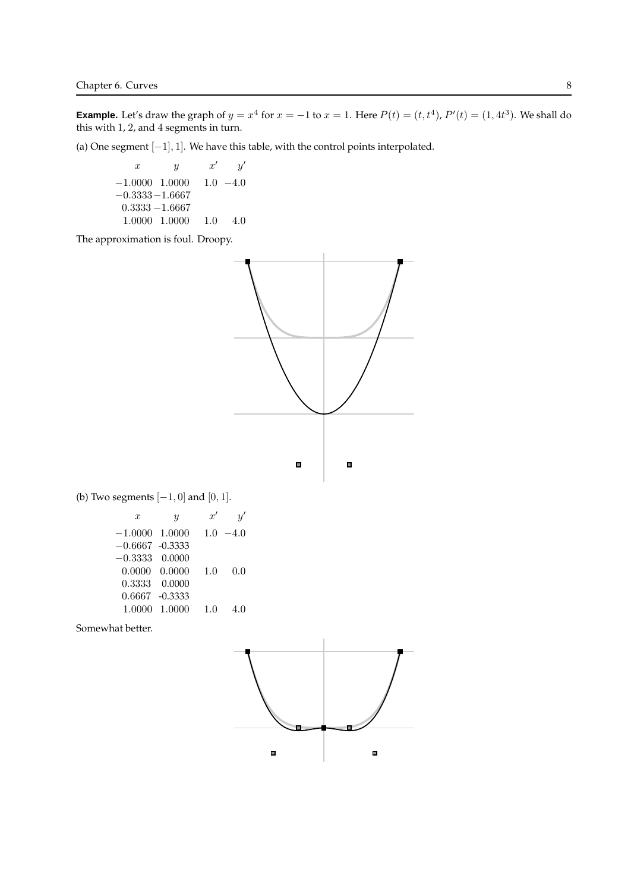**Example.** Let's draw the graph of  $y = x^4$  for  $x = -1$  to  $x = 1$ . Here  $P(t) = (t, t^4)$ ,  $P'(t) = (1, 4t^3)$ . We shall do this with 1, 2, and 4 segments in turn.

(a) One segment  $[-1, 1]$ . We have this table, with the control points interpolated.

x  $y$   $x'$  y  $y'$  $-1.0000$  1.0000 1.0  $-4.0$ −0.3333−1.6667 0.3333 −1.6667  $1.0000\quad 1.0000\quad 1.0\quad 4.0$ 

The approximation is foul. Droopy.



(b) Two segments  $[-1, 0]$  and  $[0, 1]$ .

| $\boldsymbol{x}$   | $\boldsymbol{y}$ | x'  |        |
|--------------------|------------------|-----|--------|
| $-1.0000$ 1.0000   |                  | 1.0 | $-4.0$ |
| $-0.6667 - 0.3333$ |                  |     |        |
| $-0.3333$          | 0.0000           |     |        |
| 0.0000             | 0.0000           | 1.0 | 0.0    |
| 0.3333             | 0.0000           |     |        |
| 0.6667             | $-0.3333$        |     |        |
| 1.0000             | 1.0000           | 1.0 | 4 O    |

Somewhat better.

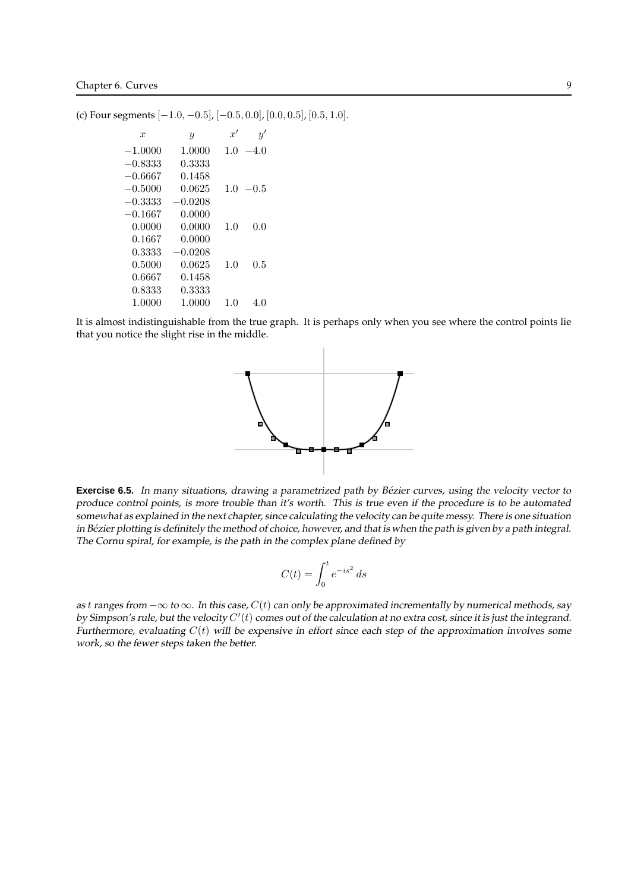(c) Four segments  $[-1.0, -0.5]$ ,  $[-0.5, 0.0]$ ,  $[0.0, 0.5]$ ,  $[0.5, 1.0]$ .

| $\boldsymbol{x}$ | Y         | $\hat{x}$ |        |
|------------------|-----------|-----------|--------|
| $-1.0000$        | 1.0000    | 1.0       | $-4.0$ |
| $-0.8333$        | 0.3333    |           |        |
| $-0.6667$        | 0.1458    |           |        |
| $-0.5000$        | 0.0625    | 1.0       | $-0.5$ |
| $-0.3333$        | $-0.0208$ |           |        |
| $-0.1667$        | 0.0000    |           |        |
| 0.0000           | 0.0000    | 1.0       | 0.0    |
| 0.1667           | 0.0000    |           |        |
| 0.3333           | $-0.0208$ |           |        |
| 0.5000           | 0.0625    | 1.0       | 0.5    |
| 0.6667           | 0.1458    |           |        |
| 0.8333           | 0.3333    |           |        |
| 1.0000           | 1.0000    | 1.0       | 4.0    |

It is almost indistinguishable from the true graph. It is perhaps only when you see where the control points lie that you notice the slight rise in the middle.



Exercise 6.5. In many situations, drawing a parametrized path by Bézier curves, using the velocity vector to produce control points, is more trouble than it's worth. This is true even if the procedure is to be automated somewhat as explained in the next chapter, since calculating the velocity can be quite messy. There is one situation in Bézier plotting is definitely the method of choice, however, and that is when the path is given by a path integral. The Cornu spiral, for example, is the path in the complex plane defined by

$$
C(t) = \int_0^t e^{-is^2} \, ds
$$

as t ranges from  $-\infty$  to  $\infty$ . In this case,  $C(t)$  can only be approximated incrementally by numerical methods, say by Simpson's rule, but the velocity  $C'(t)$  comes out of the calculation at no extra cost, since it is just the integrand. Furthermore, evaluating  $C(t)$  will be expensive in effort since each step of the approximation involves some work, so the fewer steps taken the better.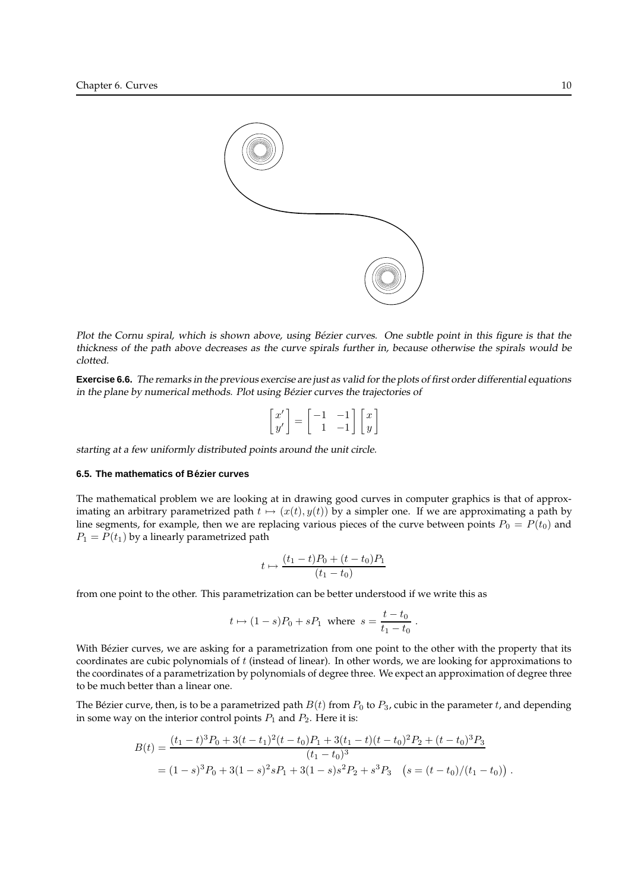

Plot the Cornu spiral, which is shown above, using Bézier curves. One subtle point in this figure is that the thickness of the path above decreases as the curve spirals further in, because otherwise the spirals would be clotted.

**Exercise 6.6.** The remarks in the previous exercise are just as valid for the plots of first order differential equations in the plane by numerical methods. Plot using Bézier curves the trajectories of

| $\lceil x^{\prime} \rceil$ |                                                                               |  |
|----------------------------|-------------------------------------------------------------------------------|--|
| $\tilde{y}'$               | $\begin{bmatrix} -1 \\ -1 \end{bmatrix} \begin{bmatrix} x \\ y \end{bmatrix}$ |  |

starting at <sup>a</sup> few uniformly distributed points around the unit circle.

### **6.5. The mathematics of Bezier curves ´**

The mathematical problem we are looking at in drawing good curves in computer graphics is that of approximating an arbitrary parametrized path  $t \mapsto (x(t), y(t))$  by a simpler one. If we are approximating a path by line segments, for example, then we are replacing various pieces of the curve between points  $P_0 = P(t_0)$  and  $P_1 = P(t_1)$  by a linearly parametrized path

$$
t \mapsto \frac{(t_1 - t)P_0 + (t - t_0)P_1}{(t_1 - t_0)}
$$

from one point to the other. This parametrization can be better understood if we write this as

$$
t \mapsto (1 - s)P_0 + sP_1
$$
 where  $s = \frac{t - t_0}{t_1 - t_0}$ .

With Bézier curves, we are asking for a parametrization from one point to the other with the property that its coordinates are cubic polynomials of t (instead of linear). In other words, we are looking for approximations to the coordinates of a parametrization by polynomials of degree three. We expect an approximation of degree three to be much better than a linear one.

The Bézier curve, then, is to be a parametrized path  $B(t)$  from  $P_0$  to  $P_3$ , cubic in the parameter t, and depending in some way on the interior control points  $P_1$  and  $P_2$ . Here it is:

$$
B(t) = \frac{(t_1 - t)^3 P_0 + 3(t - t_1)^2 (t - t_0) P_1 + 3(t_1 - t)(t - t_0)^2 P_2 + (t - t_0)^3 P_3}{(t_1 - t_0)^3}
$$
  
=  $(1 - s)^3 P_0 + 3(1 - s)^2 s P_1 + 3(1 - s) s^2 P_2 + s^3 P_3$   $(s = (t - t_0)/(t_1 - t_0))$ 

.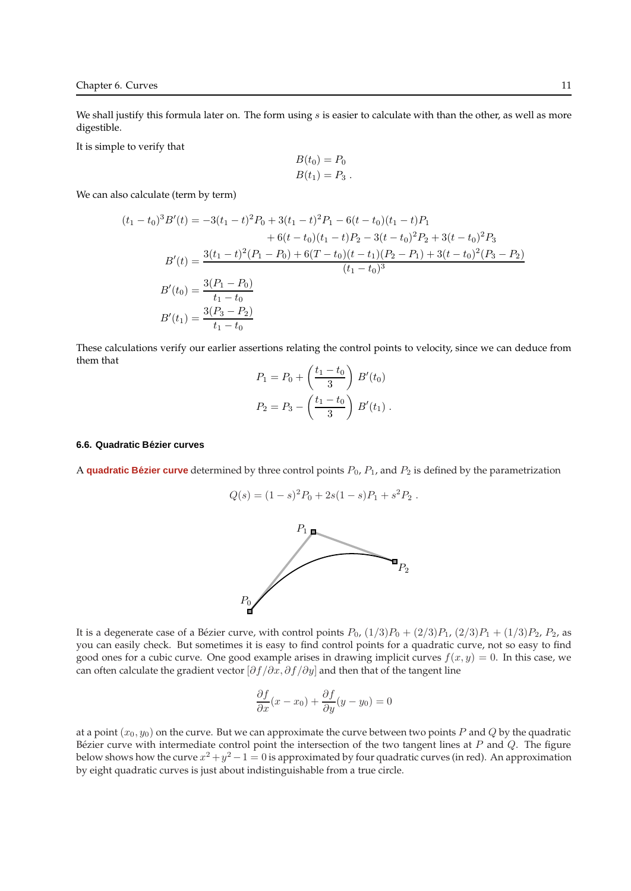We shall justify this formula later on. The form using s is easier to calculate with than the other, as well as more digestible.

It is simple to verify that

$$
B(t_0) = P_0
$$
  

$$
B(t_1) = P_3.
$$

We can also calculate (term by term)

$$
(t_1 - t_0)^3 B'(t) = -3(t_1 - t)^2 P_0 + 3(t_1 - t)^2 P_1 - 6(t - t_0)(t_1 - t) P_1
$$
  
+ 6(t - t\_0)(t\_1 - t) P\_2 - 3(t - t\_0)^2 P\_2 + 3(t - t\_0)^2 P\_3  

$$
B'(t) = \frac{3(t_1 - t)^2 (P_1 - P_0) + 6(T - t_0)(t - t_1)(P_2 - P_1) + 3(t - t_0)^2 (P_3 - P_2)}{(t_1 - t_0)^3}
$$
  

$$
B'(t_0) = \frac{3(P_1 - P_0)}{t_1 - t_0}
$$
  

$$
B'(t_1) = \frac{3(P_3 - P_2)}{t_1 - t_0}
$$

These calculations verify our earlier assertions relating the control points to velocity, since we can deduce from them that

$$
P_1 = P_0 + \left(\frac{t_1 - t_0}{3}\right) B'(t_0)
$$
  

$$
P_2 = P_3 - \left(\frac{t_1 - t_0}{3}\right) B'(t_1).
$$

## **6.6. Quadratic Bezier curves ´**

A **quadratic Bézier curve** determined by three control points  $P_0$ ,  $P_1$ , and  $P_2$  is defined by the parametrization

$$
Q(s) = (1 - s)^2 P_0 + 2s(1 - s)P_1 + s^2 P_2.
$$



It is a degenerate case of a Bézier curve, with control points  $P_0$ ,  $(1/3)P_0 + (2/3)P_1$ ,  $(2/3)P_1 + (1/3)P_2$ ,  $P_2$ , as you can easily check. But sometimes it is easy to find control points for a quadratic curve, not so easy to find good ones for a cubic curve. One good example arises in drawing implicit curves  $f(x, y) = 0$ . In this case, we can often calculate the gradient vector  $[\partial f/\partial x, \partial f/\partial y]$  and then that of the tangent line

$$
\frac{\partial f}{\partial x}(x - x_0) + \frac{\partial f}{\partial y}(y - y_0) = 0
$$

at a point  $(x_0, y_0)$  on the curve. But we can approximate the curve between two points P and Q by the quadratic Bézier curve with intermediate control point the intersection of the two tangent lines at  $P$  and  $Q$ . The figure below shows how the curve  $x^2 + y^2 - 1 = 0$  is approximated by four quadratic curves (in red). An approximation by eight quadratic curves is just about indistinguishable from a true circle.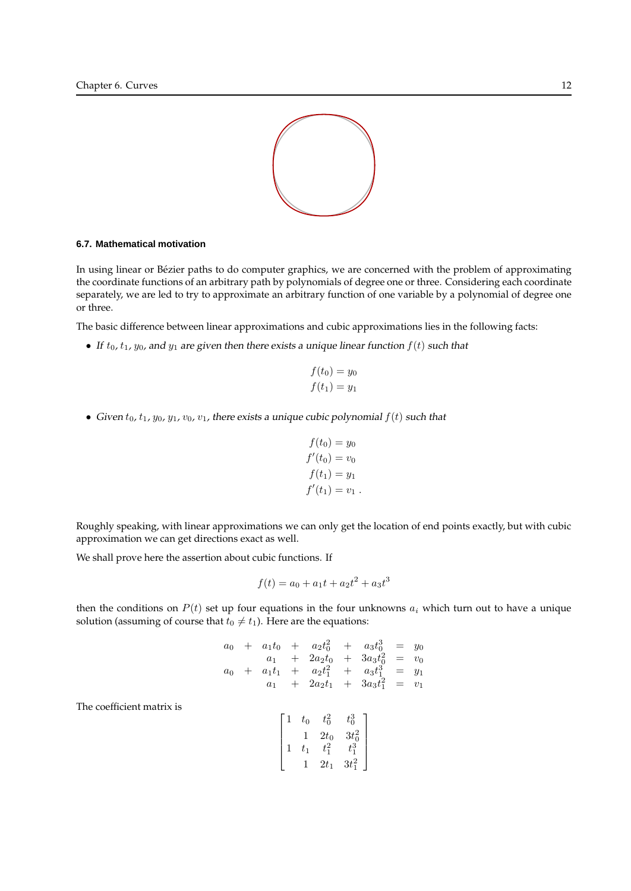

## **6.7. Mathematical motivation**

In using linear or Bézier paths to do computer graphics, we are concerned with the problem of approximating the coordinate functions of an arbitrary path by polynomials of degree one or three. Considering each coordinate separately, we are led to try to approximate an arbitrary function of one variable by a polynomial of degree one or three.

The basic difference between linear approximations and cubic approximations lies in the following facts:

• If  $t_0$ ,  $t_1$ ,  $y_0$ , and  $y_1$  are given then there exists a unique linear function  $f(t)$  such that

$$
f(t_0) = y_0
$$

$$
f(t_1) = y_1
$$

• Given  $t_0$ ,  $t_1$ ,  $y_0$ ,  $y_1$ ,  $v_0$ ,  $v_1$ , there exists a unique cubic polynomial  $f(t)$  such that

$$
f(t_0) = y_0
$$
  
\n
$$
f'(t_0) = v_0
$$
  
\n
$$
f(t_1) = y_1
$$
  
\n
$$
f'(t_1) = v_1
$$
.

Roughly speaking, with linear approximations we can only get the location of end points exactly, but with cubic approximation we can get directions exact as well.

We shall prove here the assertion about cubic functions. If

$$
f(t) = a_0 + a_1t + a_2t^2 + a_3t^3
$$

then the conditions on  $P(t)$  set up four equations in the four unknowns  $a_i$  which turn out to have a unique solution (assuming of course that  $t_0 \neq t_1$ ). Here are the equations:

$$
\begin{array}{ccccccc} a_0 & + & a_1t_0 & + & a_2t_0^2 & + & a_3t_0^3 & = & y_0 \\ a_1 & + & 2a_2t_0 & + & 3a_3t_0^2 & = & v_0 \\ a_0 & + & a_1t_1 & + & a_2t_1^2 & + & a_3t_1^3 & = & y_1 \\ a_1 & + & 2a_2t_1 & + & 3a_3t_1^2 & = & v_1 \end{array}
$$

The coefficient matrix is

$$
\begin{bmatrix} 1 & t_0 & t_0^2 & t_0^3 \\ & 1 & 2t_0 & 3t_0^2 \\ & 1 & t_1 & t_1^2 & t_1^3 \\ & 1 & 2t_1 & 3t_1^2 \end{bmatrix}
$$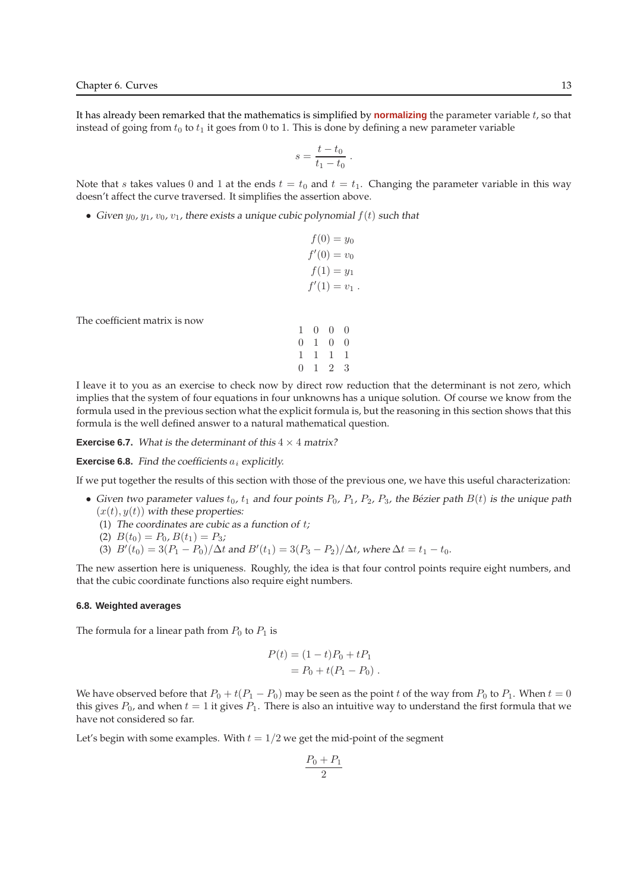It has already been remarked that the mathematics is simplified by **normalizing** the parameter variable t, so that instead of going from  $t_0$  to  $t_1$  it goes from 0 to 1. This is done by defining a new parameter variable

$$
s = \frac{t - t_0}{t_1 - t_0}
$$

.

Note that s takes values 0 and 1 at the ends  $t = t_0$  and  $t = t_1$ . Changing the parameter variable in this way doesn't affect the curve traversed. It simplifies the assertion above.

• Given  $y_0, y_1, v_0, v_1$ , there exists a unique cubic polynomial  $f(t)$  such that

| $f(0) = y_0$    |  |  |
|-----------------|--|--|
| $f'(0) = v_0$   |  |  |
| $f(1) = y_1$    |  |  |
| $f'(1) = v_1$ . |  |  |
|                 |  |  |

The coefficient matrix is now

| 1              | $\Omega$     | $\overline{0}$ | $\left( \right)$ |
|----------------|--------------|----------------|------------------|
|                | $0\quad1$    | $\overline{0}$ | $\left( \right)$ |
|                |              | 1111           |                  |
| $\overline{0}$ | $\mathbf{1}$ | $2^{\circ}$    | 3                |

I leave it to you as an exercise to check now by direct row reduction that the determinant is not zero, which implies that the system of four equations in four unknowns has a unique solution. Of course we know from the formula used in the previous section what the explicit formula is, but the reasoning in this section shows that this formula is the well defined answer to a natural mathematical question.

**Exercise 6.7.** What is the determinant of this  $4 \times 4$  matrix?

**Exercise 6.8.** Find the coefficients  $a_i$  explicitly.

If we put together the results of this section with those of the previous one, we have this useful characterization:

- Given two parameter values  $t_0$ ,  $t_1$  and four points  $P_0$ ,  $P_1$ ,  $P_2$ ,  $P_3$ , the Bézier path  $B(t)$  is the unique path  $(x(t), y(t))$  with these properties:
	- (1) The coordinates are cubic as a function of  $t$ ;
	- (2)  $B(t_0) = P_0$ ,  $B(t_1) = P_3$ ;
	- (3)  $B'(t_0) = 3(P_1 P_0)/\Delta t$  and  $B'(t_1) = 3(P_3 P_2)/\Delta t$ , where  $\Delta t = t_1 t_0$ .

The new assertion here is uniqueness. Roughly, the idea is that four control points require eight numbers, and that the cubic coordinate functions also require eight numbers.

#### **6.8. Weighted averages**

The formula for a linear path from  $P_0$  to  $P_1$  is

$$
P(t) = (1 - t)P_0 + tP_1
$$
  
= P\_0 + t(P\_1 - P\_0).

We have observed before that  $P_0 + t(P_1 - P_0)$  may be seen as the point t of the way from  $P_0$  to  $P_1$ . When  $t = 0$ this gives  $P_0$ , and when  $t = 1$  it gives  $P_1$ . There is also an intuitive way to understand the first formula that we have not considered so far.

Let's begin with some examples. With  $t = 1/2$  we get the mid-point of the segment

$$
\frac{P_0 + P_1}{2}
$$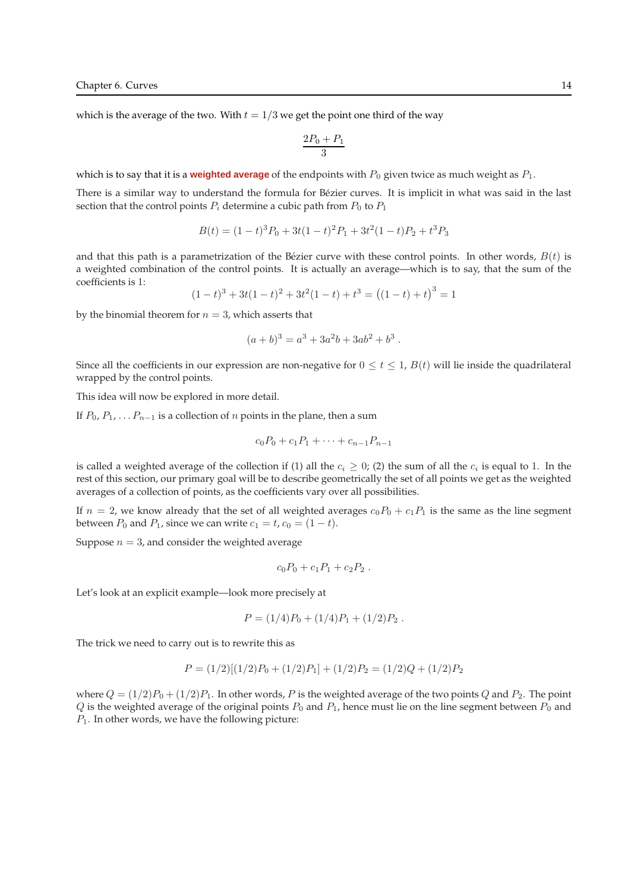which is the average of the two. With  $t = 1/3$  we get the point one third of the way

$$
\frac{2P_0+P_1}{3}
$$

which is to say that it is a **weighted average** of the endpoints with  $P_0$  given twice as much weight as  $P_1$ .

There is a similar way to understand the formula for Bézier curves. It is implicit in what was said in the last section that the control points  $P_i$  determine a cubic path from  $P_0$  to  $P_1$ 

$$
B(t) = (1-t)^{3} P_0 + 3t(1-t)^{2} P_1 + 3t^{2}(1-t)P_2 + t^{3} P_3
$$

and that this path is a parametrization of the Bézier curve with these control points. In other words,  $B(t)$  is a weighted combination of the control points. It is actually an average—which is to say, that the sum of the coefficients is 1:

$$
(1-t)^3 + 3t(1-t)^2 + 3t^2(1-t) + t^3 = ((1-t) + t)^3 = 1
$$

by the binomial theorem for  $n = 3$ , which asserts that

$$
(a+b)^3 = a^3 + 3a^2b + 3ab^2 + b^3.
$$

Since all the coefficients in our expression are non-negative for  $0 \le t \le 1$ ,  $B(t)$  will lie inside the quadrilateral wrapped by the control points.

This idea will now be explored in more detail.

If  $P_0, P_1, \ldots P_{n-1}$  is a collection of n points in the plane, then a sum

$$
c_0 P_0 + c_1 P_1 + \dots + c_{n-1} P_{n-1}
$$

is called a weighted average of the collection if (1) all the  $c_i \geq 0$ ; (2) the sum of all the  $c_i$  is equal to 1. In the rest of this section, our primary goal will be to describe geometrically the set of all points we get as the weighted averages of a collection of points, as the coefficients vary over all possibilities.

If  $n = 2$ , we know already that the set of all weighted averages  $c_0P_0 + c_1P_1$  is the same as the line segment between  $P_0$  and  $P_1$ , since we can write  $c_1 = t$ ,  $c_0 = (1 - t)$ .

Suppose  $n = 3$ , and consider the weighted average

$$
c_0P_0 + c_1P_1 + c_2P_2.
$$

Let's look at an explicit example—look more precisely at

$$
P = (1/4)P_0 + (1/4)P_1 + (1/2)P_2.
$$

The trick we need to carry out is to rewrite this as

$$
P = (1/2)[(1/2)P0 + (1/2)P1] + (1/2)P2 = (1/2)Q + (1/2)P2
$$

where  $Q = (1/2)P_0 + (1/2)P_1$ . In other words, P is the weighted average of the two points Q and  $P_2$ . The point  $Q$  is the weighted average of the original points  $P_0$  and  $P_1$ , hence must lie on the line segment between  $P_0$  and  $P_1$ . In other words, we have the following picture: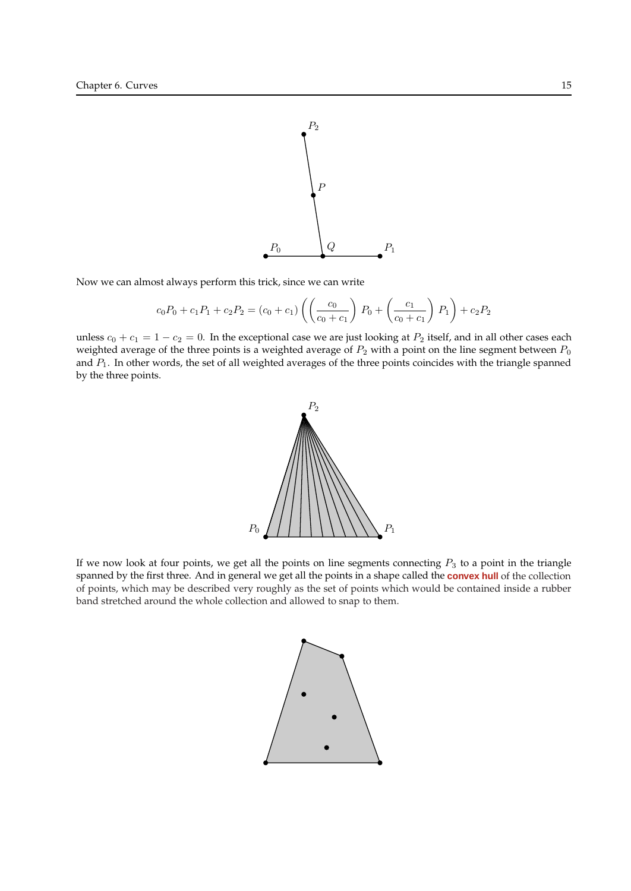

Now we can almost always perform this trick, since we can write

$$
c_0P_0 + c_1P_1 + c_2P_2 = (c_0 + c_1)\left(\left(\frac{c_0}{c_0 + c_1}\right)P_0 + \left(\frac{c_1}{c_0 + c_1}\right)P_1\right) + c_2P_2
$$

unless  $c_0 + c_1 = 1 - c_2 = 0$ . In the exceptional case we are just looking at  $P_2$  itself, and in all other cases each weighted average of the three points is a weighted average of  $P_2$  with a point on the line segment between  $P_0$ and  $P_1$ . In other words, the set of all weighted averages of the three points coincides with the triangle spanned by the three points.



If we now look at four points, we get all the points on line segments connecting  $P_3$  to a point in the triangle spanned by the first three. And in general we get all the points in a shape called the **convex hull** of the collection of points, which may be described very roughly as the set of points which would be contained inside a rubber band stretched around the whole collection and allowed to snap to them.

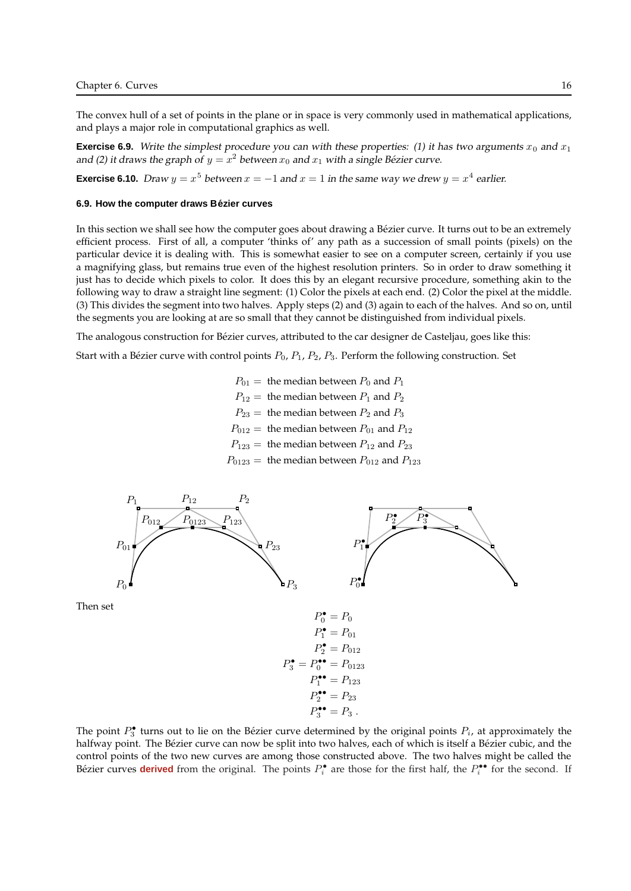The convex hull of a set of points in the plane or in space is very commonly used in mathematical applications, and plays a major role in computational graphics as well.

**Exercise 6.9.** Write the simplest procedure you can with these properties: (1) it has two arguments  $x_0$  and  $x_1$ and (2) it draws the graph of  $y = x^2$  between  $x_0$  and  $x_1$  with a single Bézier curve.

**Exercise 6.10.** Draw  $y = x^5$  between  $x = -1$  and  $x = 1$  in the same way we drew  $y = x^4$  earlier.

#### **6.9. How the computer draws Bezier curves ´**

In this section we shall see how the computer goes about drawing a Bézier curve. It turns out to be an extremely efficient process. First of all, a computer 'thinks of' any path as a succession of small points (pixels) on the particular device it is dealing with. This is somewhat easier to see on a computer screen, certainly if you use a magnifying glass, but remains true even of the highest resolution printers. So in order to draw something it just has to decide which pixels to color. It does this by an elegant recursive procedure, something akin to the following way to draw a straight line segment: (1) Color the pixels at each end. (2) Color the pixel at the middle. (3) This divides the segment into two halves. Apply steps (2) and (3) again to each of the halves. And so on, until the segments you are looking at are so small that they cannot be distinguished from individual pixels.

The analogous construction for Bézier curves, attributed to the car designer de Casteljau, goes like this:

Start with a Bézier curve with control points  $P_0$ ,  $P_1$ ,  $P_2$ ,  $P_3$ . Perform the following construction. Set

- $P_{01}$  = the median between  $P_0$  and  $P_1$  $P_{12}$  = the median between  $P_1$  and  $P_2$  $P_{23}$  = the median between  $P_2$  and  $P_3$  $P_{012}$  = the median between  $P_{01}$  and  $P_{12}$  $P_{123}$  = the median between  $P_{12}$  and  $P_{23}$
- $P_{0123}$  = the median between  $P_{012}$  and  $P_{123}$



 $P_0^{\bullet} = P_0$  $P_1^{\bullet} = P_{01}$  $P_2^{\bullet} = P_{012}$  $P_3^{\bullet} = P_0^{\bullet \bullet} = P_{0123}$  $P_1^{\bullet \bullet} = P_{123}$  $P_2^{\bullet \bullet} = P_{23}$  $P_3^{\bullet \bullet} = P_3$ .

Then set

The point 
$$
P_3^{\bullet}
$$
 turns out to lie on the Bézier curve determined by the original points  $P_i$ , at approximately the halfway point. The Bézier curve can now be split into two halves, each of which is itself a Bézier cubic, and the control points of the two new curves are among those constructed above. The two halves might be called the Bézier curves **derived** from the original. The points  $P_i^{\bullet}$  are those for the first half, the  $P_i^{\bullet \bullet}$  for the second. If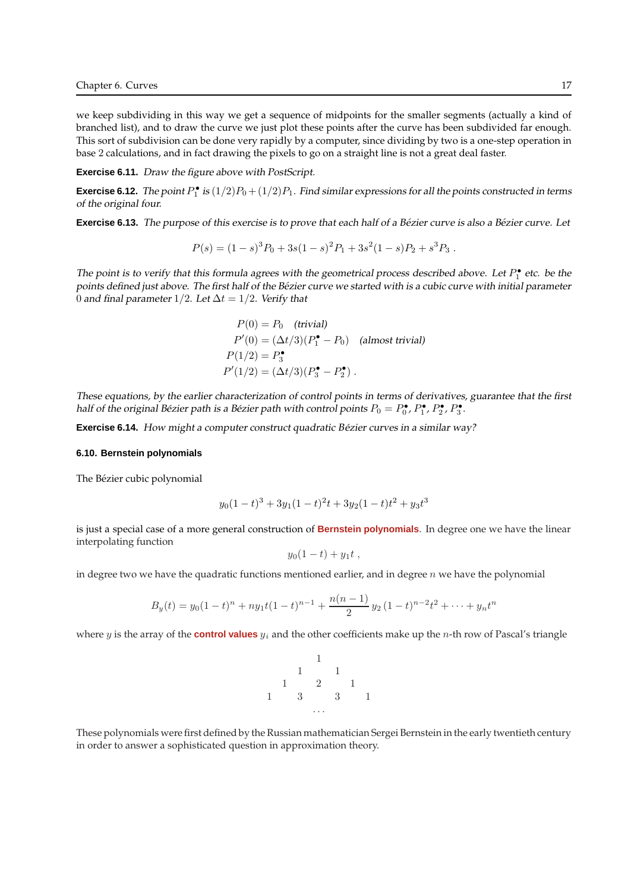we keep subdividing in this way we get a sequence of midpoints for the smaller segments (actually a kind of branched list), and to draw the curve we just plot these points after the curve has been subdivided far enough. This sort of subdivision can be done very rapidly by a computer, since dividing by two is a one-step operation in base 2 calculations, and in fact drawing the pixels to go on a straight line is not a great deal faster.

**Exercise 6.11.** Draw the figure above with PostScript.

**Exercise 6.12.** The point  $P_1^{\bullet}$  is  $(1/2)P_0 + (1/2)P_1$ . Find similar expressions for all the points constructed in terms of the original four.

**Exercise 6.13.** The purpose of this exercise is to prove that each half of a Bézier curve is also a Bézier curve. Let

$$
P(s) = (1 - s)3P0 + 3s(1 - s)2P1 + 3s2(1 - s)P2 + s3P3.
$$

The point is to verify that this formula agrees with the geometrical process described above. Let  $P_1^{\bullet}$  etc. be the points defined just above. The first half of the Bézier curve we started with is a cubic curve with initial parameter 0 and final parameter  $1/2$ . Let  $\Delta t = 1/2$ . Verify that

$$
P(0) = P_0 \quad \text{(trivial)}
$$
\n
$$
P'(0) = (\Delta t/3)(P_1^{\bullet} - P_0) \quad \text{(almost trivial)}
$$
\n
$$
P(1/2) = P_3^{\bullet}
$$
\n
$$
P'(1/2) = (\Delta t/3)(P_3^{\bullet} - P_2^{\bullet})
$$

These equations, by the earlier characterization of control points in terms of derivatives, guarantee that the first half of the original Bézier path is a Bézier path with control points  $P_0 = P_0^{\bullet}$ ,  $P_1^{\bullet}$ ,  $P_2^{\bullet}$ ,  $P_3^{\bullet}$ .

**Exercise 6.14.** How might a computer construct quadratic Bézier curves in a similar way?

#### **6.10. Bernstein polynomials**

The Bézier cubic polynomial

$$
y_0(1-t)^3 + 3y_1(1-t)^2t + 3y_2(1-t)t^2 + y_3t^3
$$

is just a special case of a more general construction of **Bernstein polynomials**. In degree one we have the linear interpolating function

$$
y_0(1-t) + y_1t
$$
,

in degree two we have the quadratic functions mentioned earlier, and in degree  $n$  we have the polynomial

$$
B_y(t) = y_0(1-t)^n + ny_1t(1-t)^{n-1} + \frac{n(n-1)}{2}y_2(1-t)^{n-2}t^2 + \dots + y_nt^n
$$

where *y* is the array of the **control values**  $y_i$  and the other coefficients make up the *n*-th row of Pascal's triangle



These polynomials were first defined by the Russian mathematician Sergei Bernstein in the early twentieth century in order to answer a sophisticated question in approximation theory.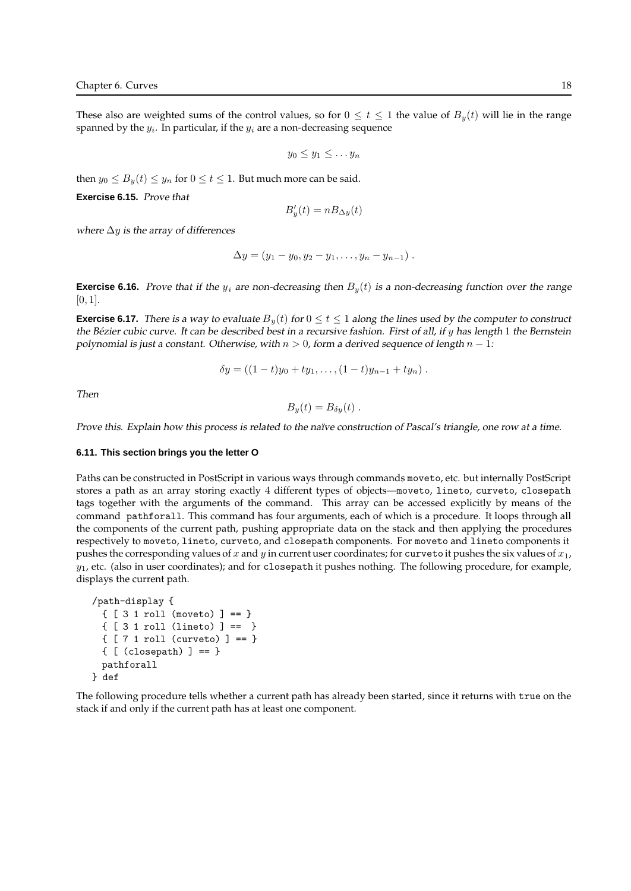These also are weighted sums of the control values, so for  $0 \le t \le 1$  the value of  $B<sub>v</sub>(t)$  will lie in the range spanned by the  $y_i$ . In particular, if the  $y_i$  are a non-decreasing sequence

$$
y_0 \leq y_1 \leq \ldots y_n
$$

then  $y_0 \leq B_y(t) \leq y_n$  for  $0 \leq t \leq 1$ . But much more can be said.

**Exercise 6.15.** Prove that

$$
B_y'(t) = nB_{\Delta y}(t)
$$

where  $\Delta y$  is the array of differences

$$
\Delta y = (y_1 - y_0, y_2 - y_1, \ldots, y_n - y_{n-1}).
$$

**Exercise 6.16.** Prove that if the  $y_i$  are non-decreasing then  $B_y(t)$  is a non-decreasing function over the range  $[0, 1]$ .

**Exercise 6.17.** There is a way to evaluate  $B_y(t)$  for  $0 \le t \le 1$  along the lines used by the computer to construct the Bézier cubic curve. It can be described best in a recursive fashion. First of all, if  $y$  has length 1 the Bernstein polynomial is just a constant. Otherwise, with  $n > 0$ , form a derived sequence of length  $n - 1$ :

$$
\delta y = ((1-t)y_0 + ty_1, \ldots, (1-t)y_{n-1} + ty_n).
$$

Then

$$
B_y(t) = B_{\delta y}(t) .
$$

Prove this. Explain how this process is related to the naïve construction of Pascal's triangle, one row at a time.

#### **6.11. This section brings you the letter O**

Paths can be constructed in PostScript in various ways through commands moveto, etc. but internally PostScript stores a path as an array storing exactly 4 different types of objects—moveto, lineto, curveto, closepath tags together with the arguments of the command. This array can be accessed explicitly by means of the command pathforall. This command has four arguments, each of which is a procedure. It loops through all the components of the current path, pushing appropriate data on the stack and then applying the procedures respectively to moveto, lineto, curveto, and closepath components. For moveto and lineto components it pushes the corresponding values of x and y in current user coordinates; for curve to it pushes the six values of  $x_1$ ,  $y_1$ , etc. (also in user coordinates); and for closepath it pushes nothing. The following procedure, for example, displays the current path.

```
/path-display {
 { [ 3 1 roll (moveto) ] == }
 { [ 3 1 roll (lineto) ] == }
 { [ 7 1 roll (curveto) ] == }
 { [ (closepath) ] == }
 pathforall
} def
```
The following procedure tells whether a current path has already been started, since it returns with true on the stack if and only if the current path has at least one component.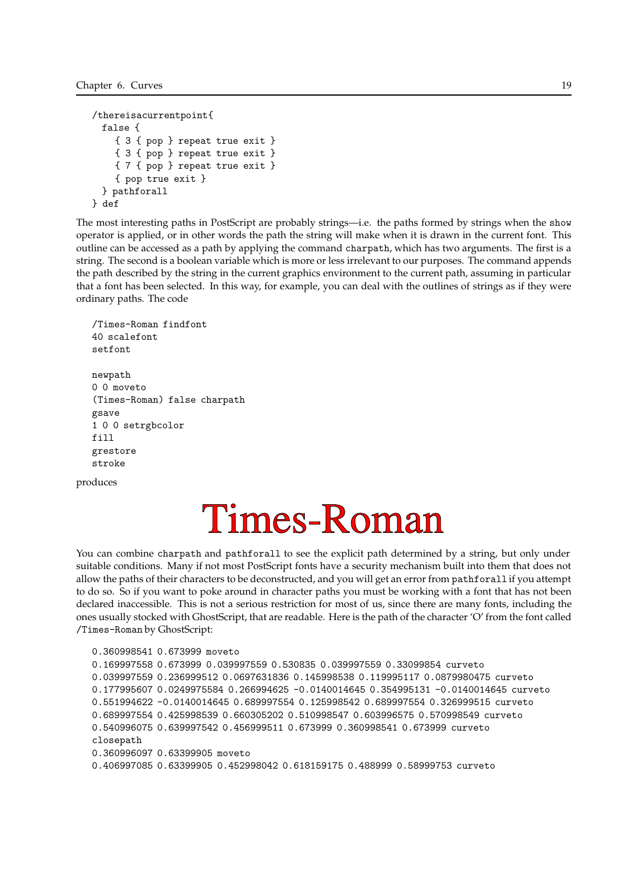```
/thereisacurrentpoint{
 false {
    { 3 { pop } repeat true exit }
    { 3 { pop } repeat true exit }
    { 7 { pop } repeat true exit }
    { pop true exit }
 } pathforall
} def
```
The most interesting paths in PostScript are probably strings—i.e. the paths formed by strings when the show operator is applied, or in other words the path the string will make when it is drawn in the current font. This outline can be accessed as a path by applying the command charpath, which has two arguments. The first is a string. The second is a boolean variable which is more or less irrelevant to our purposes. The command appends the path described by the string in the current graphics environment to the current path, assuming in particular that a font has been selected. In this way, for example, you can deal with the outlines of strings as if they were ordinary paths. The code

```
/Times-Roman findfont
40 scalefont
setfont
newpath
0 0 moveto
(Times-Roman) false charpath
gsave
1 0 0 setrgbcolor
fill
grestore
stroke
```
produces

# **Times-Roman**

You can combine charpath and pathforall to see the explicit path determined by a string, but only under suitable conditions. Many if not most PostScript fonts have a security mechanism built into them that does not allow the paths of their characters to be deconstructed, and you will get an error from pathforall if you attempt to do so. So if you want to poke around in character paths you must be working with a font that has not been declared inaccessible. This is not a serious restriction for most of us, since there are many fonts, including the ones usually stocked with GhostScript, that are readable. Here is the path of the character 'O' from the font called /Times-Roman by GhostScript:

```
0.360998541 0.673999 moveto
```

```
0.169997558 0.673999 0.039997559 0.530835 0.039997559 0.33099854 curveto
0.039997559 0.236999512 0.0697631836 0.145998538 0.119995117 0.0879980475 curveto
0.177995607 0.0249975584 0.266994625 -0.0140014645 0.354995131 -0.0140014645 curveto
0.551994622 -0.0140014645 0.689997554 0.125998542 0.689997554 0.326999515 curveto
0.689997554 0.425998539 0.660305202 0.510998547 0.603996575 0.570998549 curveto
0.540996075 0.639997542 0.456999511 0.673999 0.360998541 0.673999 curveto
closepath
0.360996097 0.63399905 moveto
0.406997085 0.63399905 0.452998042 0.618159175 0.488999 0.58999753 curveto
```